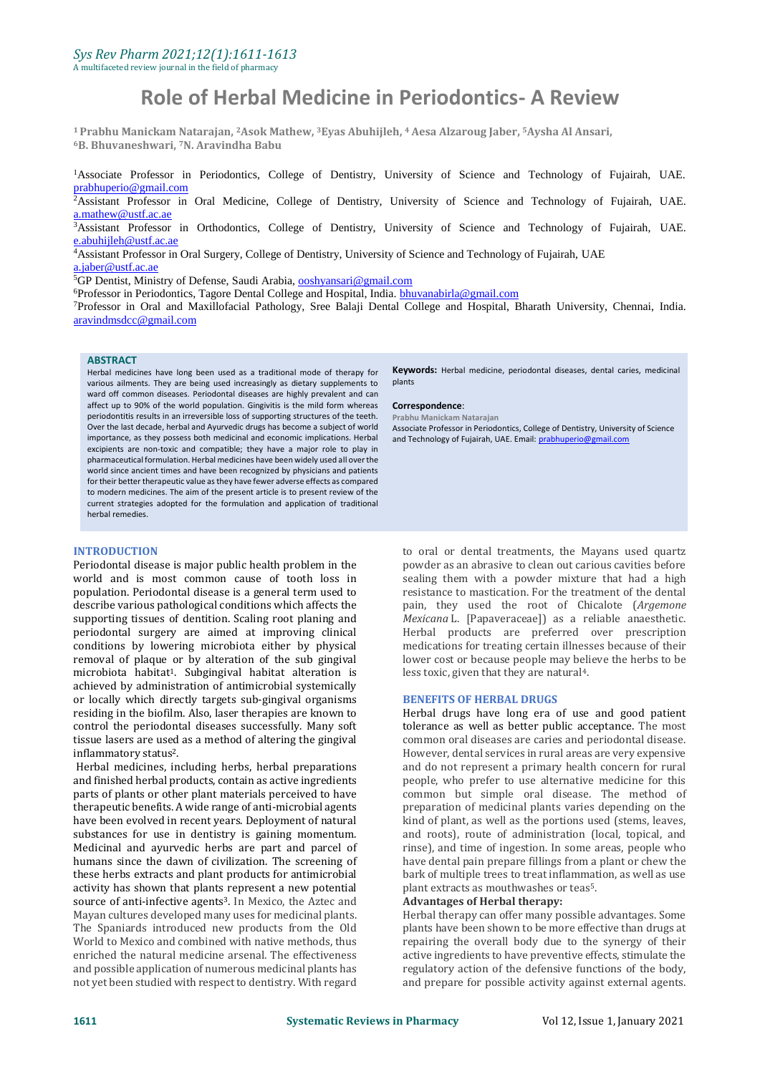# **Role of Herbal Medicine in Periodontics- A Review**

**<sup>1</sup>Prabhu Manickam Natarajan, <sup>2</sup>Asok Mathew, <sup>3</sup>Eyas Abuhijleh, <sup>4</sup> Aesa Alzaroug Jaber, <sup>5</sup>Aysha Al Ansari, <sup>6</sup>B. Bhuvaneshwari, <sup>7</sup>N. Aravindha Babu** 

<sup>1</sup>Associate Professor in Periodontics, College of Dentistry, University of Science and Technology of Fujairah, UAE. [prabhuperio@gmail.com](mailto:prabhuperio@gmail.com)

<sup>2</sup>Assistant Professor in Oral Medicine, College of Dentistry, University of Science and Technology of Fujairah, UAE. [a.mathew@ustf.ac.ae](mailto:a.mathew@ustf.ac.ae)

<sup>3</sup>Assistant Professor in Orthodontics, College of Dentistry, University of Science and Technology of Fujairah, [UAE.](mailto:UAE.%20a.jaber@ustf.ac.ae) e.abuhijleh@ustf.ac.ae

<sup>4</sup>Assistant Professor in Oral Surgery, College of Dentistry, University of Science and Technology of Fujairah, UAE [a.jaber@ustf.ac.ae](mailto:a.jaber@ustf.ac.ae)

<sup>5</sup>GP Dentist, Ministry of Defense, Saudi Arabia[, ooshyansari@gmail.com](mailto:ooshyansari@gmail.com)

<sup>6</sup>Professor in Periodontics, Tagore Dental College and Hospital, India. [bhuvanabirla@gmail.com](mailto:bhuvanabirla@gmail.com)

<sup>7</sup>Professor in Oral and Maxillofacial Pathology, Sree Balaji Dental College and Hospital, Bharath University, Chennai, India. [aravindmsdcc@gmail.com](mailto:aravindmsdcc@gmail.com)

#### **ABSTRACT**

Herbal medicines have long been used as a traditional mode of therapy for various ailments. They are being used increasingly as dietary supplements to ward off common diseases. Periodontal diseases are highly prevalent and can affect up to 90% of the world population. Gingivitis is the mild form whereas periodontitis results in an irreversible loss of supporting structures of the teeth. Over the last decade, herbal and Ayurvedic drugs has become a subject of world importance, as they possess both medicinal and economic implications. Herbal excipients are non-toxic and compatible; they have a major role to play in pharmaceutical formulation. Herbal medicines have been widely used all over the world since ancient times and have been recognized by physicians and patients for their better therapeutic value as they have fewer adverse effects as compared to modern medicines. The aim of the present article is to present review of the current strategies adopted for the formulation and application of traditional herbal remedies.

#### **INTRODUCTION**

Periodontal disease is major public health problem in the world and is most common cause of tooth loss in population. Periodontal disease is a general term used to describe various pathological conditions which affects the supporting tissues of dentition. Scaling root planing and periodontal surgery are aimed at improving clinical conditions by lowering microbiota either by physical removal of plaque or by alteration of the sub gingival microbiota habitat1. Subgingival habitat alteration is achieved by administration of antimicrobial systemically or locally which directly targets sub-gingival organisms residing in the biofilm. Also, laser therapies are known to control the periodontal diseases successfully. Many soft tissue lasers are used as a method of altering the gingival inflammatory status2.

Herbal medicines, including herbs, herbal preparations and finished herbal products, contain as active ingredients parts of plants or other plant materials perceived to have therapeutic benefits. A wide range of anti-microbial agents have been evolved in recent years. Deployment of natural substances for use in dentistry is gaining momentum. Medicinal and ayurvedic herbs are part and parcel of humans since the dawn of civilization. The screening of these herbs extracts and plant products for antimicrobial activity has shown that plants represent a new potential source of anti-infective agents<sup>3</sup>. In Mexico, the Aztec and Mayan cultures developed many uses for medicinal plants. The Spaniards introduced new products from the Old World to Mexico and combined with native methods, thus enriched the natural medicine arsenal. The effectiveness and possible application of numerous medicinal plants has not yet been studied with respect to dentistry. With regard

**Keywords:** Herbal medicine, periodontal diseases, dental caries, medicinal plants

#### **Correspondence**:

**Prabhu Manickam Natarajan** Associate Professor in Periodontics, College of Dentistry, University of Science and Technology of Fujairah, UAE. Email[: prabhuperio@gmail.com](mailto:prabhuperio@gmail.com)

to oral or dental treatments, the Mayans used quartz powder as an abrasive to clean out carious cavities before sealing them with a powder mixture that had a high resistance to mastication. For the treatment of the dental pain, they used the root of Chicalote (*Argemone Mexicana* L. [Papaveraceae]) as a reliable anaesthetic. Herbal products are preferred over prescription medications for treating certain illnesses because of their lower cost or because people may believe the herbs to be less toxic, given that they are natural4.

#### **BENEFITS OF HERBAL DRUGS**

Herbal drugs have long era of use and good patient tolerance as well as better public acceptance. The most common oral diseases are caries and periodontal disease. However, dental services in rural areas are very expensive and do not represent a primary health concern for rural people, who prefer to use alternative medicine for this common but simple oral disease. The method of preparation of medicinal plants varies depending on the kind of plant, as well as the portions used (stems, leaves, and roots), route of administration (local, topical, and rinse), and time of ingestion. In some areas, people who have dental pain prepare fillings from a plant or chew the bark of multiple trees to treat inflammation, as well as use plant extracts as mouthwashes or teas5.

#### **Advantages of Herbal therapy:**

Herbal therapy can offer many possible advantages. Some plants have been shown to be more effective than drugs at repairing the overall body due to the synergy of their active ingredients to have preventive effects, stimulate the regulatory action of the defensive functions of the body, and prepare for possible activity against external agents.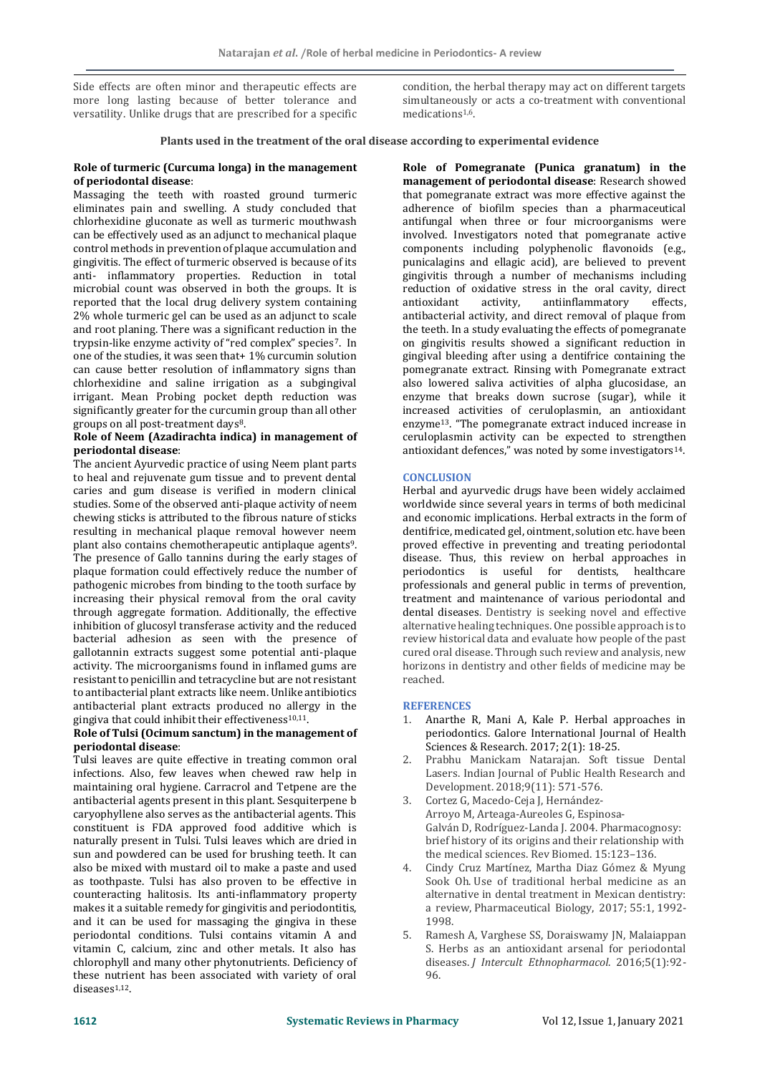Side effects are often minor and therapeutic effects are more long lasting because of better tolerance and versatility. Unlike drugs that are prescribed for a specific condition, the herbal therapy may act on different targets simultaneously or acts a co-treatment with conventional medications1,6.

#### **Plants used in the treatment of the oral disease according to experimental evidence**

#### **Role of turmeric (Curcuma longa) in the management of periodontal disease**:

Massaging the teeth with roasted ground turmeric eliminates pain and swelling. A study concluded that chlorhexidine gluconate as well as turmeric mouthwash can be effectively used as an adjunct to mechanical plaque control methods in prevention of plaque accumulation and gingivitis. The effect of turmeric observed is because of its anti- inflammatory properties. Reduction in total microbial count was observed in both the groups. It is reported that the local drug delivery system containing 2% whole turmeric gel can be used as an adjunct to scale and root planing. There was a significant reduction in the trypsin-like enzyme activity of "red complex" species7. In one of the studies, it was seen that+ 1% curcumin solution can cause better resolution of inflammatory signs than chlorhexidine and saline irrigation as a subgingival irrigant. Mean Probing pocket depth reduction was significantly greater for the curcumin group than all other groups on all post-treatment days<sup>8</sup>.

## **Role of Neem (Azadirachta indica) in management of periodontal disease**:

The ancient Ayurvedic practice of using Neem plant parts to heal and rejuvenate gum tissue and to prevent dental caries and gum disease is verified in modern clinical studies. Some of the observed anti-plaque activity of neem chewing sticks is attributed to the fibrous nature of sticks resulting in mechanical plaque removal however neem plant also contains chemotherapeutic antiplaque agents<sup>9</sup>. The presence of Gallo tannins during the early stages of plaque formation could effectively reduce the number of pathogenic microbes from binding to the tooth surface by increasing their physical removal from the oral cavity through aggregate formation. Additionally, the effective inhibition of glucosyl transferase activity and the reduced bacterial adhesion as seen with the presence of gallotannin extracts suggest some potential anti-plaque activity. The microorganisms found in inflamed gums are resistant to penicillin and tetracycline but are not resistant to antibacterial plant extracts like neem. Unlike antibiotics antibacterial plant extracts produced no allergy in the gingiva that could inhibit their effectiveness<sup>10,11</sup>.

# **Role of Tulsi (Ocimum sanctum) in the management of periodontal disease**:

Tulsi leaves are quite effective in treating common oral infections. Also, few leaves when chewed raw help in maintaining oral hygiene. Carracrol and Tetpene are the antibacterial agents present in this plant. Sesquiterpene b caryophyllene also serves as the antibacterial agents. This constituent is FDA approved food additive which is naturally present in Tulsi. Tulsi leaves which are dried in sun and powdered can be used for brushing teeth. It can also be mixed with mustard oil to make a paste and used as toothpaste. Tulsi has also proven to be effective in counteracting halitosis. Its anti-inflammatory property makes it a suitable remedy for gingivitis and periodontitis, and it can be used for massaging the gingiva in these periodontal conditions. Tulsi contains vitamin A and vitamin C, calcium, zinc and other metals. It also has chlorophyll and many other phytonutrients. Deficiency of these nutrient has been associated with variety of oral diseases 1,12.

**Role of Pomegranate (Punica granatum) in the management of periodontal disease**: Research showed that pomegranate extract was more effective against the adherence of biofilm species than a pharmaceutical antifungal when three or four microorganisms were involved. Investigators noted that pomegranate active components including polyphenolic flavonoids (e.g., punicalagins and ellagic acid), are believed to prevent gingivitis through a number of mechanisms including reduction of oxidative stress in the oral cavity, direct antioxidant activity, antiinflammatory effects, antioxidant activity, antiinflammatory effects, antibacterial activity, and direct removal of plaque from the teeth. In a study evaluating the effects of pomegranate on gingivitis results showed a significant reduction in gingival bleeding after using a dentifrice containing the pomegranate extract. Rinsing with Pomegranate extract also lowered saliva activities of alpha glucosidase, an enzyme that breaks down sucrose (sugar), while it increased activities of ceruloplasmin, an antioxidant enzyme13. "The pomegranate extract induced increase in ceruloplasmin activity can be expected to strengthen antioxidant defences," was noted by some investigators14.

# **CONCLUSION**

Herbal and ayurvedic drugs have been widely acclaimed worldwide since several years in terms of both medicinal and economic implications. Herbal extracts in the form of dentifrice, medicated gel, ointment, solution etc. have been proved effective in preventing and treating periodontal disease. Thus, this review on herbal approaches in periodontics is useful for dentists, healthcare professionals and general public in terms of prevention, treatment and maintenance of various periodontal and dental diseases. Dentistry is seeking novel and effective alternative healing techniques. One possible approach is to review historical data and evaluate how people of the past cured oral disease. Through such review and analysis, new horizons in dentistry and other fields of medicine may be reached.

## **REFERENCES**

- 1. Anarthe R, Mani A, Kale P. Herbal approaches in periodontics. Galore International Journal of Health Sciences & Research. 2017; 2(1): 18-25.
- 2. Prabhu Manickam Natarajan. Soft tissue Dental Lasers. Indian Journal of Public Health Research and Development. 2018;9(11): 571-576.
- 3. Cortez G, Macedo-Ceja J, Hernández-Arroyo M, Arteaga-Aureoles G, Espinosa-Galván D, Rodríguez-Landa J. 2004. Pharmacognosy: brief history of its origins and their relationship with the medical sciences. Rev Biomed. 15:123–136.
- 4. Cindy Cruz Martínez, Martha Diaz Gómez & Myung Sook Oh. Use of traditional herbal medicine as an alternative in dental treatment in Mexican dentistry: a review, Pharmaceutical Biology, 2017; 55:1, 1992- 1998.
- 5. Ramesh A, Varghese SS, Doraiswamy JN, Malaiappan S. Herbs as an antioxidant arsenal for periodontal diseases. *J Intercult Ethnopharmacol*. 2016;5(1):92- 96.